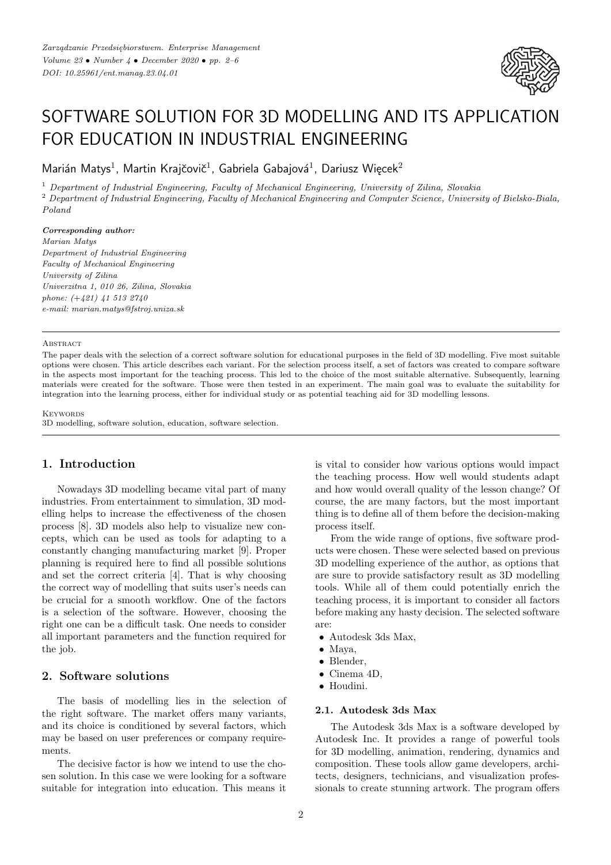

# SOFTWARE SOLUTION FOR 3D MODELLING AND ITS APPLICATION FOR EDUCATION IN INDUSTRIAL ENGINEERING

Marián Matys<sup>1</sup>, Martin Krajčovič<sup>1</sup>, Gabriela Gabajová<sup>1</sup>, Dariusz Więcek<sup>2</sup>

<sup>1</sup> *Department of Industrial Engineering, Faculty of Mechanical Engineering, University of Zilina, Slovakia* <sup>2</sup> *Department of Industrial Engineering, Faculty of Mechanical Engineering and Computer Science, University of Bielsko-Biala, Poland*

#### *Corresponding author:*

*Marian Matys Department of Industrial Engineering Faculty of Mechanical Engineering University of Zilina Univerzitna 1, 010 26, Zilina, Slovakia phone: (*+*421) 41 513 2740 e-mail: marian.matys@fstroj.uniza.sk*

#### **ABSTRACT**

The paper deals with the selection of a correct software solution for educational purposes in the field of 3D modelling. Five most suitable options were chosen. This article describes each variant. For the selection process itself, a set of factors was created to compare software in the aspects most important for the teaching process. This led to the choice of the most suitable alternative. Subsequently, learning materials were created for the software. Those were then tested in an experiment. The main goal was to evaluate the suitability for integration into the learning process, either for individual study or as potential teaching aid for 3D modelling lessons.

**KEYWORDS** 

3D modelling, software solution, education, software selection.

# **1. Introduction**

Nowadays 3D modelling became vital part of many industries. From entertainment to simulation, 3D modelling helps to increase the effectiveness of the chosen process [8]. 3D models also help to visualize new concepts, which can be used as tools for adapting to a constantly changing manufacturing market [9]. Proper planning is required here to find all possible solutions and set the correct criteria [4]. That is why choosing the correct way of modelling that suits user's needs can be crucial for a smooth workflow. One of the factors is a selection of the software. However, choosing the right one can be a difficult task. One needs to consider all important parameters and the function required for the job.

## **2. Software solutions**

The basis of modelling lies in the selection of the right software. The market offers many variants, and its choice is conditioned by several factors, which may be based on user preferences or company requirements.

The decisive factor is how we intend to use the chosen solution. In this case we were looking for a software suitable for integration into education. This means it is vital to consider how various options would impact the teaching process. How well would students adapt and how would overall quality of the lesson change? Of course, the are many factors, but the most important thing is to define all of them before the decision-making process itself.

From the wide range of options, five software products were chosen. These were selected based on previous 3D modelling experience of the author, as options that are sure to provide satisfactory result as 3D modelling tools. While all of them could potentially enrich the teaching process, it is important to consider all factors before making any hasty decision. The selected software are:

- Autodesk 3ds Max,
- Maya,
- Blender,
- Cinema 4D,
- Houdini.

#### **2.1. Autodesk 3ds Max**

The Autodesk 3ds Max is a software developed by Autodesk Inc. It provides a range of powerful tools for 3D modelling, animation, rendering, dynamics and composition. These tools allow game developers, architects, designers, technicians, and visualization professionals to create stunning artwork. The program offers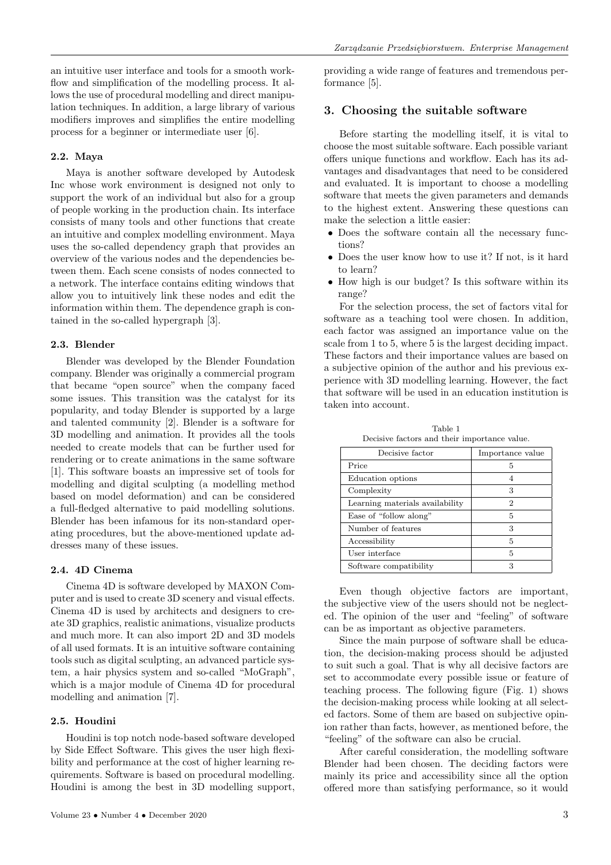an intuitive user interface and tools for a smooth workflow and simplification of the modelling process. It allows the use of procedural modelling and direct manipulation techniques. In addition, a large library of various modifiers improves and simplifies the entire modelling process for a beginner or intermediate user [6].

#### **2.2. Maya**

Maya is another software developed by Autodesk Inc whose work environment is designed not only to support the work of an individual but also for a group of people working in the production chain. Its interface consists of many tools and other functions that create an intuitive and complex modelling environment. Maya uses the so-called dependency graph that provides an overview of the various nodes and the dependencies between them. Each scene consists of nodes connected to a network. The interface contains editing windows that allow you to intuitively link these nodes and edit the information within them. The dependence graph is contained in the so-called hypergraph [3].

#### **2.3. Blender**

Blender was developed by the Blender Foundation company. Blender was originally a commercial program that became "open source" when the company faced some issues. This transition was the catalyst for its popularity, and today Blender is supported by a large and talented community [2]. Blender is a software for 3D modelling and animation. It provides all the tools needed to create models that can be further used for rendering or to create animations in the same software [1]. This software boasts an impressive set of tools for modelling and digital sculpting (a modelling method based on model deformation) and can be considered a full-fledged alternative to paid modelling solutions. Blender has been infamous for its non-standard operating procedures, but the above-mentioned update addresses many of these issues.

#### **2.4. 4D Cinema**

Cinema 4D is software developed by MAXON Computer and is used to create 3D scenery and visual effects. Cinema 4D is used by architects and designers to create 3D graphics, realistic animations, visualize products and much more. It can also import 2D and 3D models of all used formats. It is an intuitive software containing tools such as digital sculpting, an advanced particle system, a hair physics system and so-called "MoGraph", which is a major module of Cinema 4D for procedural modelling and animation [7].

#### **2.5. Houdini**

Houdini is top notch node-based software developed by Side Effect Software. This gives the user high flexibility and performance at the cost of higher learning requirements. Software is based on procedural modelling. Houdini is among the best in 3D modelling support, providing a wide range of features and tremendous performance [5].

#### **3. Choosing the suitable software**

Before starting the modelling itself, it is vital to choose the most suitable software. Each possible variant offers unique functions and workflow. Each has its advantages and disadvantages that need to be considered and evaluated. It is important to choose a modelling software that meets the given parameters and demands to the highest extent. Answering these questions can make the selection a little easier:

- Does the software contain all the necessary functions?
- Does the user know how to use it? If not, is it hard to learn?
- How high is our budget? Is this software within its range?

For the selection process, the set of factors vital for software as a teaching tool were chosen. In addition, each factor was assigned an importance value on the scale from 1 to 5, where 5 is the largest deciding impact. These factors and their importance values are based on a subjective opinion of the author and his previous experience with 3D modelling learning. However, the fact that software will be used in an education institution is taken into account.

Table 1 Decisive factors and their importance value.

| Decisive factor                 | Importance value |  |  |
|---------------------------------|------------------|--|--|
| Price                           | 5                |  |  |
| Education options               | 4                |  |  |
| Complexity                      | 3                |  |  |
| Learning materials availability | 2                |  |  |
| Ease of "follow along"          | 5                |  |  |
| Number of features              | 3                |  |  |
| Accessibility                   | 5                |  |  |
| User interface                  | 5                |  |  |
| Software compatibility          | 3                |  |  |

Even though objective factors are important, the subjective view of the users should not be neglected. The opinion of the user and "feeling" of software can be as important as objective parameters.

Since the main purpose of software shall be education, the decision-making process should be adjusted to suit such a goal. That is why all decisive factors are set to accommodate every possible issue or feature of teaching process. The following figure (Fig. 1) shows the decision-making process while looking at all selected factors. Some of them are based on subjective opinion rather than facts, however, as mentioned before, the "feeling" of the software can also be crucial.

After careful consideration, the modelling software Blender had been chosen. The deciding factors were mainly its price and accessibility since all the option offered more than satisfying performance, so it would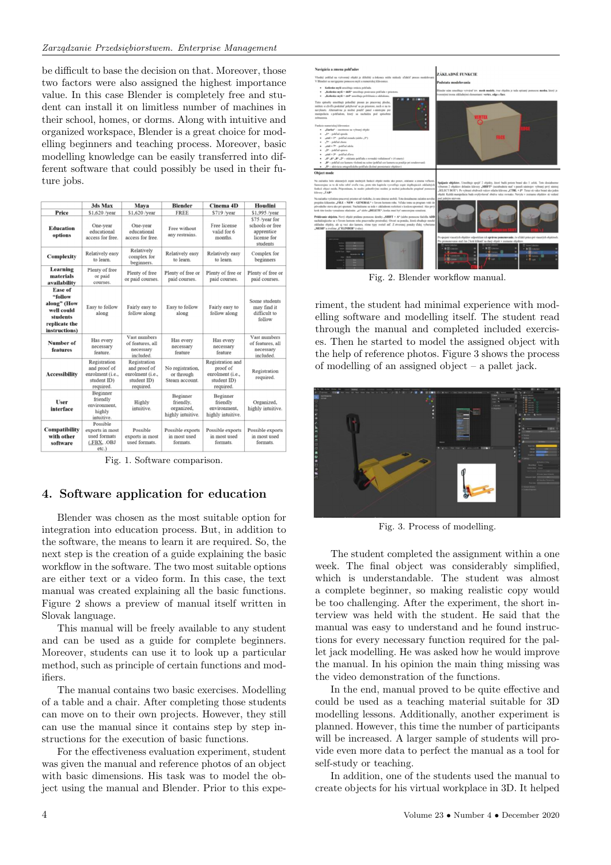be difficult to base the decision on that. Moreover, those two factors were also assigned the highest importance value. In this case Blender is completely free and student can install it on limitless number of machines in their school, homes, or dorms. Along with intuitive and organized workspace, Blender is a great choice for modelling beginners and teaching process. Moreover, basic modelling knowledge can be easily transferred into different software that could possibly be used in their future jobs.

|                                                                                                      | 3ds Max                                                                      | Mava                                                                         | <b>Blender</b>                                           | Cinema <sub>4D</sub>                                                         | Houdini                                                                    |
|------------------------------------------------------------------------------------------------------|------------------------------------------------------------------------------|------------------------------------------------------------------------------|----------------------------------------------------------|------------------------------------------------------------------------------|----------------------------------------------------------------------------|
| Price                                                                                                | \$1,620 /vear                                                                | \$1,620 /vear                                                                | <b>FREE</b>                                              | \$719 /year                                                                  | \$1,995 /year                                                              |
| <b>Education</b><br>options                                                                          | One-year<br>educational<br>access for free.                                  | One-year<br>educational<br>access for free.                                  | Free without<br>any restrains.                           | Free license<br>valid for 6<br>months.                                       | \$75 /year for<br>schools or free<br>apprentice<br>license for<br>students |
| Complexity                                                                                           | Relatively easy<br>to learn.                                                 | Relatively<br>complex for<br>beginners.                                      | Relatively easy<br>to learn.                             | Relatively easy<br>to learn.                                                 | Complex for<br>beginners                                                   |
| Learning<br>materials<br>availability                                                                | Plenty of free<br>or paid<br>courses.                                        | Plenty of free<br>or paid courses.                                           | Plenty of free or<br>paid courses.                       | Plenty of free or<br>paid courses.                                           | Plenty of free or<br>paid courses.                                         |
| <b>Ease of</b><br>"follow<br>along" (How<br>well could<br>students<br>replicate the<br>instructions) | Easy to follow<br>along                                                      | Fairly easy to<br>follow along                                               | Easy to follow<br>along                                  | Fairly easy to<br>follow along                                               | Some students<br>may find it<br>difficult to<br>follow                     |
| Number of<br>features                                                                                | Has every<br>necessary<br>feature.                                           | Vast numbers<br>of features, all<br>necessary<br>included.                   | Has every<br>necessary<br>feature                        | Has every<br>necessary<br>feature                                            | Vast numbers<br>of features, all<br>necessary<br>included.                 |
| <b>Accessibility</b>                                                                                 | Registration<br>and proof of<br>enrolment (i.e.,<br>student ID)<br>required. | Registration<br>and proof of<br>enrolment (i.e.,<br>student ID)<br>required. | No registration,<br>or through<br>Steam account.         | Registration and<br>proof of<br>enrolment (i.e.,<br>student ID)<br>required. | Registration<br>required.                                                  |
| User<br>interface                                                                                    | Beginner<br>friendly<br>environment.<br>highly<br>intuitive.                 | Highly<br>intuitive.                                                         | Beginner<br>friendly,<br>organized,<br>highly intuitive. | Beginner<br>friendly<br>environment.<br>highly intuitive.                    | Organized,<br>highly intuitive.                                            |
| <b>Compatibility</b><br>with other<br>software                                                       | Possible<br>exports in most<br>used formats<br>(.FBX, .OBJ<br>$etc.$ )       | Possible<br>exports in most<br>used formats.                                 | Possible exports<br>in most used<br>formats.             | Possible exports<br>in most used<br>formats.                                 | Possible exports<br>in most used<br>formats.                               |

Fig. 1. Software comparison.

# **4. Software application for education**

Blender was chosen as the most suitable option for integration into education process. But, in addition to the software, the means to learn it are required. So, the next step is the creation of a guide explaining the basic workflow in the software. The two most suitable options are either text or a video form. In this case, the text manual was created explaining all the basic functions. Figure 2 shows a preview of manual itself written in Slovak language.

This manual will be freely available to any student and can be used as a guide for complete beginners. Moreover, students can use it to look up a particular method, such as principle of certain functions and modifiers.

The manual contains two basic exercises. Modelling of a table and a chair. After completing those students can move on to their own projects. However, they still can use the manual since it contains step by step instructions for the execution of basic functions.

For the effectiveness evaluation experiment, student was given the manual and reference photos of an object with basic dimensions. His task was to model the object using the manual and Blender. Prior to this expe-



Fig. 2. Blender workflow manual.

riment, the student had minimal experience with modelling software and modelling itself. The student read through the manual and completed included exercises. Then he started to model the assigned object with the help of reference photos. Figure 3 shows the process of modelling of an assigned object – a pallet jack.



Fig. 3. Process of modelling.

The student completed the assignment within a one week. The final object was considerably simplified, which is understandable. The student was almost a complete beginner, so making realistic copy would be too challenging. After the experiment, the short interview was held with the student. He said that the manual was easy to understand and he found instructions for every necessary function required for the pallet jack modelling. He was asked how he would improve the manual. In his opinion the main thing missing was the video demonstration of the functions.

In the end, manual proved to be quite effective and could be used as a teaching material suitable for 3D modelling lessons. Additionally, another experiment is planned. However, this time the number of participants will be increased. A larger sample of students will provide even more data to perfect the manual as a tool for self-study or teaching.

In addition, one of the students used the manual to create objects for his virtual workplace in 3D. It helped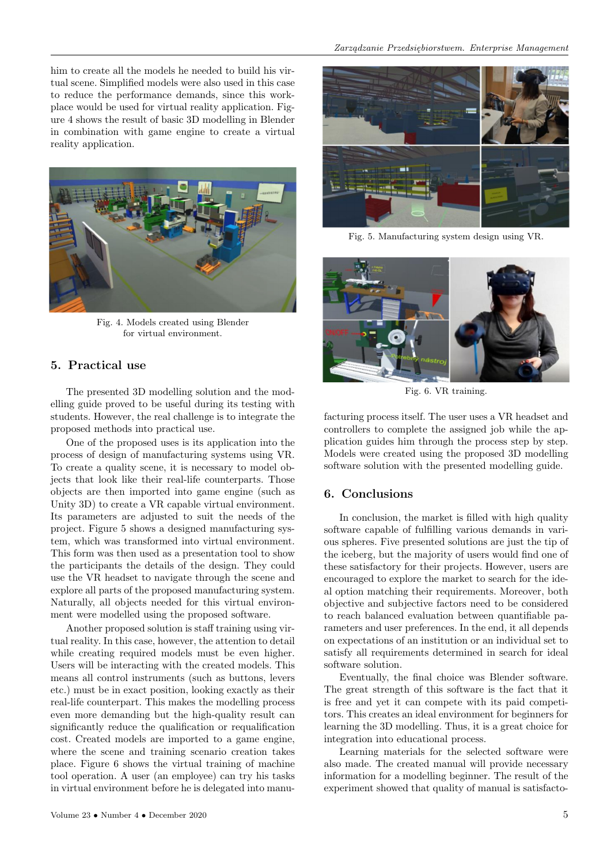him to create all the models he needed to build his virtual scene. Simplified models were also used in this case to reduce the performance demands, since this workplace would be used for virtual reality application. Figure 4 shows the result of basic 3D modelling in Blender in combination with game engine to create a virtual reality application.



Fig. 4. Models created using Blender for virtual environment.

## **5. Practical use**

The presented 3D modelling solution and the modelling guide proved to be useful during its testing with students. However, the real challenge is to integrate the proposed methods into practical use.

One of the proposed uses is its application into the process of design of manufacturing systems using VR. To create a quality scene, it is necessary to model objects that look like their real-life counterparts. Those objects are then imported into game engine (such as Unity 3D) to create a VR capable virtual environment. Its parameters are adjusted to suit the needs of the project. Figure 5 shows a designed manufacturing system, which was transformed into virtual environment. This form was then used as a presentation tool to show the participants the details of the design. They could use the VR headset to navigate through the scene and explore all parts of the proposed manufacturing system. Naturally, all objects needed for this virtual environment were modelled using the proposed software.

Another proposed solution is staff training using virtual reality. In this case, however, the attention to detail while creating required models must be even higher. Users will be interacting with the created models. This means all control instruments (such as buttons, levers etc.) must be in exact position, looking exactly as their real-life counterpart. This makes the modelling process even more demanding but the high-quality result can significantly reduce the qualification or requalification cost. Created models are imported to a game engine, where the scene and training scenario creation takes place. Figure 6 shows the virtual training of machine tool operation. A user (an employee) can try his tasks in virtual environment before he is delegated into manu-



Fig. 5. Manufacturing system design using VR.



Fig. 6. VR training.

facturing process itself. The user uses a VR headset and controllers to complete the assigned job while the application guides him through the process step by step. Models were created using the proposed 3D modelling software solution with the presented modelling guide.

## **6. Conclusions**

In conclusion, the market is filled with high quality software capable of fulfilling various demands in various spheres. Five presented solutions are just the tip of the iceberg, but the majority of users would find one of these satisfactory for their projects. However, users are encouraged to explore the market to search for the ideal option matching their requirements. Moreover, both objective and subjective factors need to be considered to reach balanced evaluation between quantifiable parameters and user preferences. In the end, it all depends on expectations of an institution or an individual set to satisfy all requirements determined in search for ideal software solution.

Eventually, the final choice was Blender software. The great strength of this software is the fact that it is free and yet it can compete with its paid competitors. This creates an ideal environment for beginners for learning the 3D modelling. Thus, it is a great choice for integration into educational process.

Learning materials for the selected software were also made. The created manual will provide necessary information for a modelling beginner. The result of the experiment showed that quality of manual is satisfacto